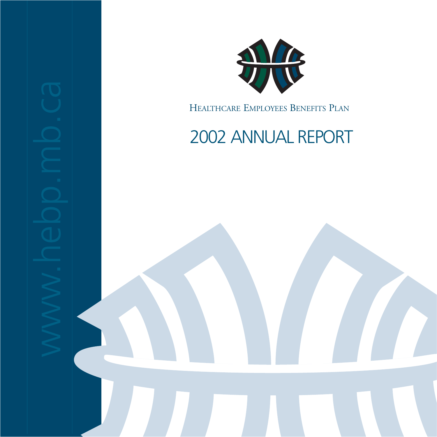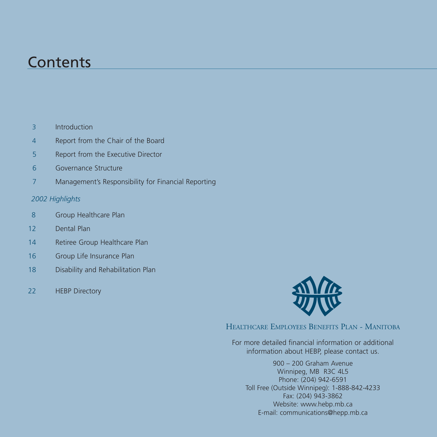## **Contents**

- 3 Introduction
- 4 Report from the Chair of the Board
- 5 Report from the Executive Director
- 6 Governance Structure
- 7 Management's Responsibility for Financial Reporting

### *2002 Highlights*

- 8 Group Healthcare Plan
- 12 Dental Plan
- 14 Retiree Group Healthcare Plan
- 16 Group Life Insurance Plan
- 18 Disability and Rehabilitation Plan
- 22 **HEBP Directory**



HEALTHCARE EMPLOYEES BENEFITS PLAN - MANITOBA

For more detailed financial information or additional information about HEBP, please contact us.

900 – 200 Graham Avenue Winnipeg, MB R3C 4L5 Phone: (204) 942-6591 Toll Free (Outside Winnipeg): 1-888-842-4233 Fax: (204) 943-3862 Website: www.hebp.mb.ca E-mail: communications@hepp.mb.ca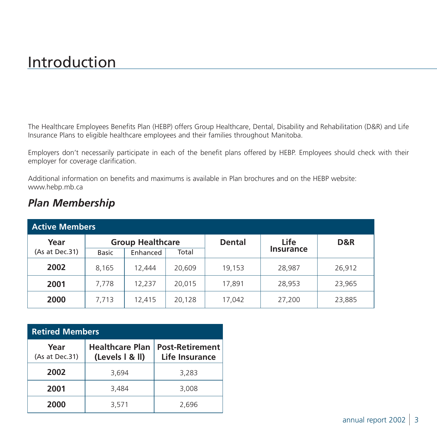# Introduction

The Healthcare Employees Benefits Plan (HEBP) offers Group Healthcare, Dental, Disability and Rehabilitation (D&R) and Life Insurance Plans to eligible healthcare employees and their families throughout Manitoba.

Employers don't necessarily participate in each of the benefit plans offered by HEBP. Employees should check with their employer for coverage clarification.

Additional information on benefits and maximums is available in Plan brochures and on the HEBP website: www.hebp.mb.ca

| <b>Active Members</b> |                         |          |               |        |           |        |
|-----------------------|-------------------------|----------|---------------|--------|-----------|--------|
| Year                  | <b>Group Healthcare</b> |          | <b>Dental</b> | Life   | D&R       |        |
| (As at Dec.31)        | <b>Basic</b>            | Enhanced | Total         |        | Insurance |        |
| 2002                  | 8.165                   | 12.444   | 20,609        | 19,153 | 28,987    | 26,912 |
| 2001                  | 7.778                   | 12.237   | 20,015        | 17,891 | 28,953    | 23,965 |
| 2000                  | 7,713                   | 12.415   | 20,128        | 17,042 | 27,200    | 23,885 |

## *Plan Membership*

## **Retired Members**

| Year<br>(As at Dec.31) | <b>Healthcare Plan</b><br>(Levels   & II) | <b>Post-Retirement</b><br>Life Insurance |
|------------------------|-------------------------------------------|------------------------------------------|
| 2002                   | 3,694                                     | 3,283                                    |
| 2001                   | 3,484                                     | 3,008                                    |
| 2000                   | 3,571                                     | 2,696                                    |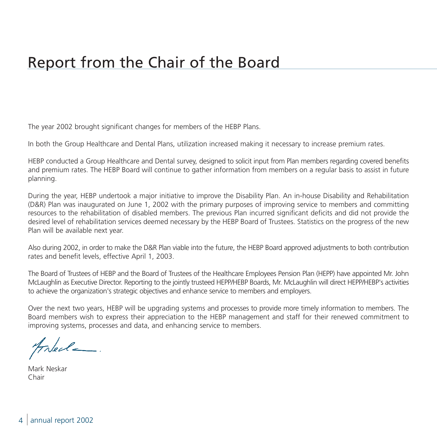# Report from the Chair of the Board

The year 2002 brought significant changes for members of the HEBP Plans.

In both the Group Healthcare and Dental Plans, utilization increased making it necessary to increase premium rates.

HEBP conducted a Group Healthcare and Dental survey, designed to solicit input from Plan members regarding covered benefits and premium rates. The HEBP Board will continue to gather information from members on a regular basis to assist in future planning.

During the year, HEBP undertook a major initiative to improve the Disability Plan. An in-house Disability and Rehabilitation (D&R) Plan was inaugurated on June 1, 2002 with the primary purposes of improving service to members and committing resources to the rehabilitation of disabled members. The previous Plan incurred significant deficits and did not provide the desired level of rehabilitation services deemed necessary by the HEBP Board of Trustees. Statistics on the progress of the new Plan will be available next year.

Also during 2002, in order to make the D&R Plan viable into the future, the HEBP Board approved adjustments to both contribution rates and benefit levels, effective April 1, 2003.

The Board of Trustees of HEBP and the Board of Trustees of the Healthcare Employees Pension Plan (HEPP) have appointed Mr. John McLaughlin as Executive Director. Reporting to the jointly trusteed HEPP/HEBP Boards, Mr. McLaughlin will direct HEPP/HEBP's activities to achieve the organization's strategic objectives and enhance service to members and employers.

Over the next two years, HEBP will be upgrading systems and processes to provide more timely information to members. The Board members wish to express their appreciation to the HEBP management and staff for their renewed commitment to improving systems, processes and data, and enhancing service to members.

Freel\_

Mark Neskar Chair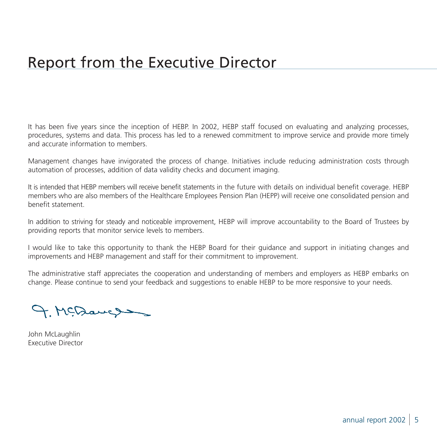It has been five years since the inception of HEBP. In 2002, HEBP staff focused on evaluating and analyzing processes, procedures, systems and data. This process has led to a renewed commitment to improve service and provide more timely and accurate information to members.

Management changes have invigorated the process of change. Initiatives include reducing administration costs through automation of processes, addition of data validity checks and document imaging.

It is intended that HEBP members will receive benefit statements in the future with details on individual benefit coverage. HEBP members who are also members of the Healthcare Employees Pension Plan (HEPP) will receive one consolidated pension and benefit statement.

In addition to striving for steady and noticeable improvement, HEBP will improve accountability to the Board of Trustees by providing reports that monitor service levels to members.

I would like to take this opportunity to thank the HEBP Board for their guidance and support in initiating changes and improvements and HEBP management and staff for their commitment to improvement.

The administrative staff appreciates the cooperation and understanding of members and employers as HEBP embarks on change. Please continue to send your feedback and suggestions to enable HEBP to be more responsive to your needs.

9. McDauge

John McLaughlin Executive Director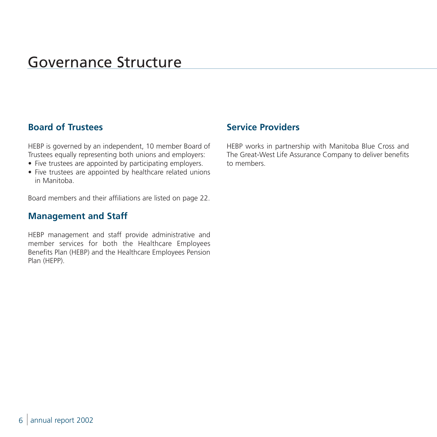# Governance Structure

## **Board of Trustees**

HEBP is governed by an independent, 10 member Board of Trustees equally representing both unions and employers:

- Five trustees are appointed by participating employers.
- Five trustees are appointed by healthcare related unions in Manitoba.

Board members and their affiliations are listed on page 22.

## **Management and Staff**

HEBP management and staff provide administrative and member services for both the Healthcare Employees Benefits Plan (HEBP) and the Healthcare Employees Pension Plan (HEPP).

## **Service Providers**

HEBP works in partnership with Manitoba Blue Cross and The Great-West Life Assurance Company to deliver benefits to members.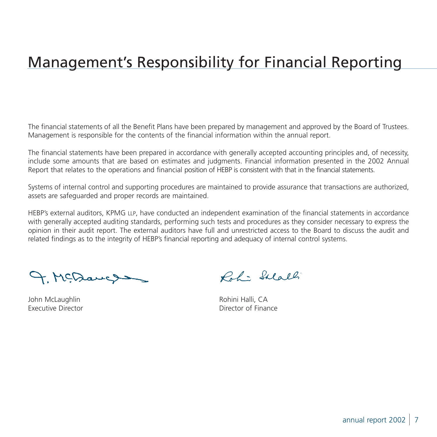# Management's Responsibility for Financial Reporting

The financial statements of all the Benefit Plans have been prepared by management and approved by the Board of Trustees. Management is responsible for the contents of the financial information within the annual report.

The financial statements have been prepared in accordance with generally accepted accounting principles and, of necessity, include some amounts that are based on estimates and judgments. Financial information presented in the 2002 Annual Report that relates to the operations and financial position of HEBP is consistent with that in the financial statements.

Systems of internal control and supporting procedures are maintained to provide assurance that transactions are authorized, assets are safeguarded and proper records are maintained.

HEBP's external auditors, KPMG LLP, have conducted an independent examination of the financial statements in accordance with generally accepted auditing standards, performing such tests and procedures as they consider necessary to express the opinion in their audit report. The external auditors have full and unrestricted access to the Board to discuss the audit and related findings as to the integrity of HEBP's financial reporting and adequacy of internal control systems.

9. McDauge

Roh: Salall

John McLaughlin **Manual Accord Community** Rohini Halli, CA Executive Director Director of Finance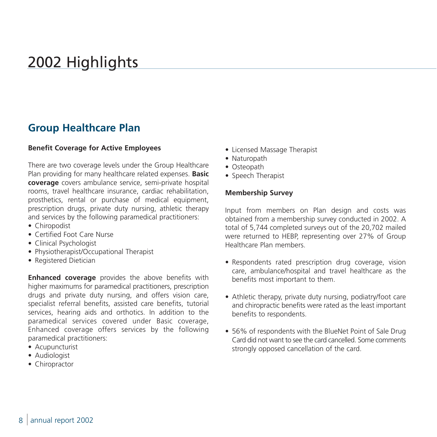# 2002 Highlights

## **Group Healthcare Plan**

#### **Benefit Coverage for Active Employees**

There are two coverage levels under the Group Healthcare Plan providing for many healthcare related expenses. **Basic coverage** covers ambulance service, semi-private hospital rooms, travel healthcare insurance, cardiac rehabilitation, prosthetics, rental or purchase of medical equipment, prescription drugs, private duty nursing, athletic therapy and services by the following paramedical practitioners:

- Chiropodist
- Certified Foot Care Nurse
- Clinical Psychologist
- Physiotherapist/Occupational Therapist
- Registered Dietician

**Enhanced coverage** provides the above benefits with higher maximums for paramedical practitioners, prescription drugs and private duty nursing, and offers vision care, specialist referral benefits, assisted care benefits, tutorial services, hearing aids and orthotics. In addition to the paramedical services covered under Basic coverage, Enhanced coverage offers services by the following paramedical practitioners:

- Acupuncturist
- Audiologist
- Chiropractor
- Licensed Massage Therapist
- Naturopath
- Osteopath
- Speech Therapist

#### **Membership Survey**

Input from members on Plan design and costs was obtained from a membership survey conducted in 2002. A total of 5,744 completed surveys out of the 20,702 mailed were returned to HEBP, representing over 27% of Group Healthcare Plan members.

- Respondents rated prescription drug coverage, vision care, ambulance/hospital and travel healthcare as the benefits most important to them.
- Athletic therapy, private duty nursing, podiatry/foot care and chiropractic benefits were rated as the least important benefits to respondents.
- 56% of respondents with the BlueNet Point of Sale Drug Card did not want to see the card cancelled. Some comments strongly opposed cancellation of the card.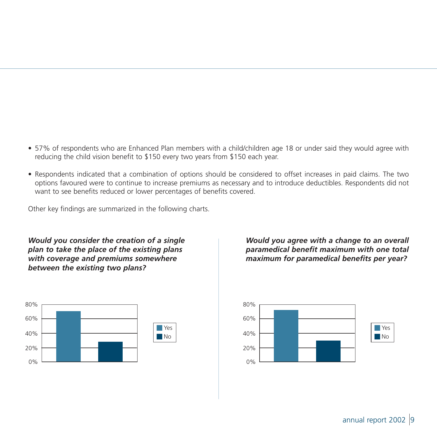- 57% of respondents who are Enhanced Plan members with a child/children age 18 or under said they would agree with reducing the child vision benefit to \$150 every two years from \$150 each year.
- Respondents indicated that a combination of options should be considered to offset increases in paid claims. The two options favoured were to continue to increase premiums as necessary and to introduce deductibles. Respondents did not want to see benefits reduced or lower percentages of benefits covered.

Other key findings are summarized in the following charts.

*Would you consider the creation of a single plan to take the place of the existing plans with coverage and premiums somewhere between the existing two plans?* 



*Would you agree with a change to an overall paramedical benefit maximum with one total maximum for paramedical benefits per year?*

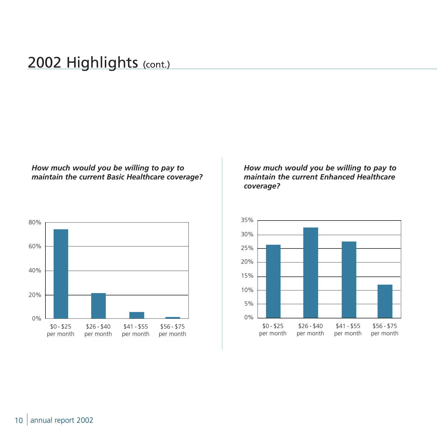## 2002 Highlights (cont.)

### *How much would you be willing to pay to maintain the current Basic Healthcare coverage?*



### *How much would you be willing to pay to maintain the current Enhanced Healthcare coverage?*

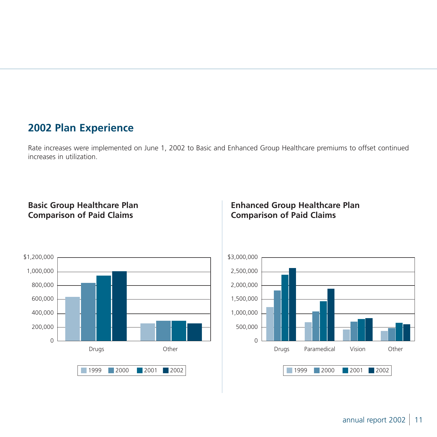## **2002 Plan Experience**

Rate increases were implemented on June 1, 2002 to Basic and Enhanced Group Healthcare premiums to offset continued increases in utilization.

### **Basic Group Healthcare Plan Comparison of Paid Claims**



### **Enhanced Group Healthcare Plan Comparison of Paid Claims**

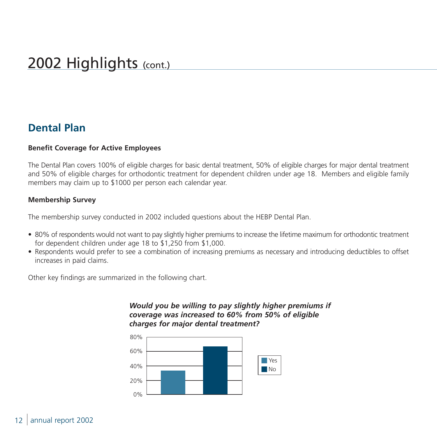## **Dental Plan**

### **Benefit Coverage for Active Employees**

The Dental Plan covers 100% of eligible charges for basic dental treatment, 50% of eligible charges for major dental treatment and 50% of eligible charges for orthodontic treatment for dependent children under age 18. Members and eligible family members may claim up to \$1000 per person each calendar year.

### **Membership Survey**

The membership survey conducted in 2002 included questions about the HEBP Dental Plan.

- 80% of respondents would not want to pay slightly higher premiums to increase the lifetime maximum for orthodontic treatment for dependent children under age 18 to \$1,250 from \$1,000.
- Respondents would prefer to see a combination of increasing premiums as necessary and introducing deductibles to offset increases in paid claims.

Other key findings are summarized in the following chart.

### *Would you be willing to pay slightly higher premiums if coverage was increased to 60% from 50% of eligible charges for major dental treatment?*

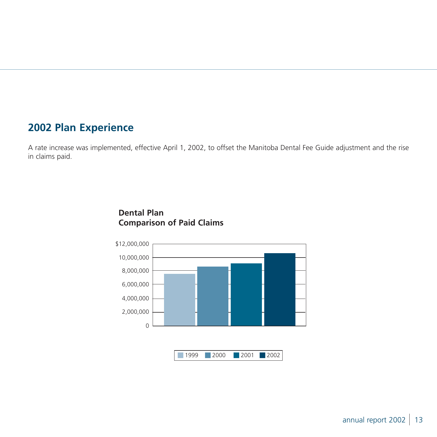## **2002 Plan Experience**

A rate increase was implemented, effective April 1, 2002, to offset the Manitoba Dental Fee Guide adjustment and the rise in claims paid.



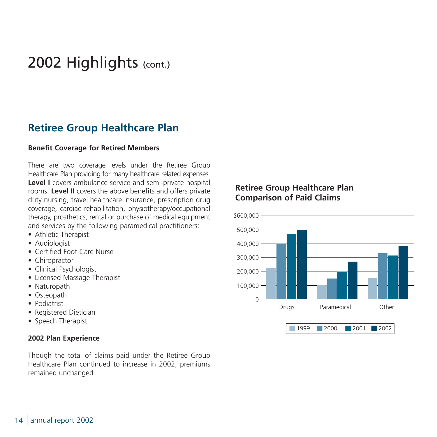## 2002 Highlights (cont.)

## **Retiree Group Healthcare Plan**

#### **Benefit Coverage for Retired Members**

There are two coverage levels under the Retiree Group Healthcare Plan providing for many healthcare related expenses. **Level I** covers ambulance service and semi-private hospital rooms. **Level II** covers the above benefits and offers private duty nursing, travel healthcare insurance, prescription drug coverage, cardiac rehabilitation, physiotherapy/occupational therapy, prosthetics, rental or purchase of medical equipment and services by the following paramedical practitioners:

- Athletic Therapist
- Audiologist
- Certified Foot Care Nurse
- Chiropractor
- Clinical Psychologist
- Licensed Massage Therapist
- Naturopath
- Osteopath
- Podiatrist
- Registered Dietician
- Speech Therapist

#### **2002 Plan Experience**

Though the total of claims paid under the Retiree Group Healthcare Plan continued to increase in 2002, premiums remained unchanged.

## **Retiree Group Healthcare Plan Comparison of Paid Claims**

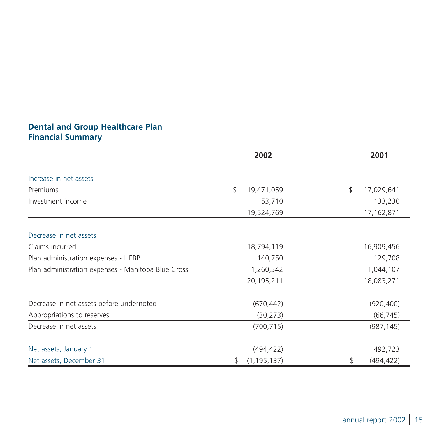## **Dental and Group Healthcare Plan Financial Summary**

|                                                    | 2002                | 2001             |
|----------------------------------------------------|---------------------|------------------|
| Increase in net assets                             |                     |                  |
| Premiums                                           | \$<br>19,471,059    | \$<br>17,029,641 |
|                                                    |                     |                  |
| Investment income                                  | 53,710              | 133,230          |
|                                                    | 19,524,769          | 17,162,871       |
| Decrease in net assets                             |                     |                  |
| Claims incurred                                    | 18,794,119          | 16,909,456       |
| Plan administration expenses - HEBP                | 140,750             | 129,708          |
| Plan administration expenses - Manitoba Blue Cross | 1,260,342           | 1,044,107        |
|                                                    | 20,195,211          | 18,083,271       |
|                                                    |                     |                  |
| Decrease in net assets before undernoted           | (670, 442)          | (920, 400)       |
| Appropriations to reserves                         | (30, 273)           | (66, 745)        |
| Decrease in net assets                             | (700, 715)          | (987, 145)       |
|                                                    |                     |                  |
| Net assets, January 1                              | (494, 422)          | 492,723          |
| Net assets, December 31                            | \$<br>(1, 195, 137) | \$<br>(494, 422) |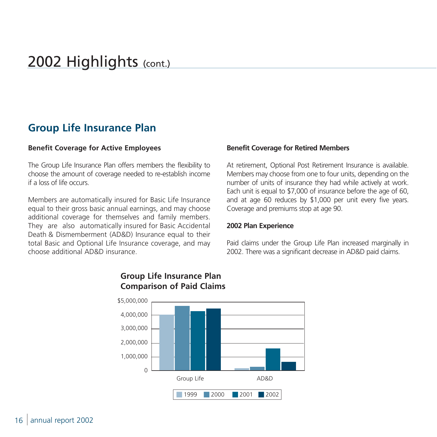## 2002 Highlights (cont.)

## **Group Life Insurance Plan**

#### **Benefit Coverage for Active Employees**

The Group Life Insurance Plan offers members the flexibility to choose the amount of coverage needed to re-establish income if a loss of life occurs.

Members are automatically insured for Basic Life Insurance equal to their gross basic annual earnings, and may choose additional coverage for themselves and family members. They are also automatically insured for Basic Accidental Death & Dismemberment (AD&D) Insurance equal to their total Basic and Optional Life Insurance coverage, and may choose additional AD&D insurance.

#### **Benefit Coverage for Retired Members**

At retirement, Optional Post Retirement Insurance is available. Members may choose from one to four units, depending on the number of units of insurance they had while actively at work. Each unit is equal to \$7,000 of insurance before the age of 60, and at age 60 reduces by \$1,000 per unit every five years. Coverage and premiums stop at age 90.

#### **2002 Plan Experience**

Paid claims under the Group Life Plan increased marginally in 2002. There was a significant decrease in AD&D paid claims.



### **Group Life Insurance Plan Comparison of Paid Claims**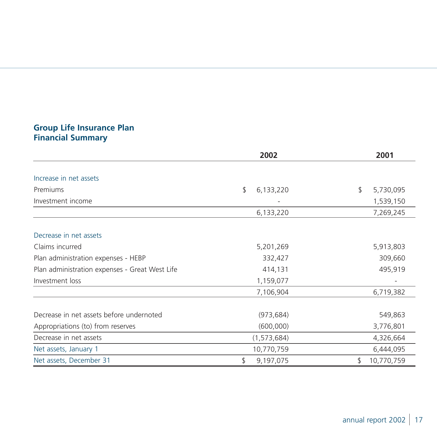### **Group Life Insurance Plan Financial Summary**

|                                                | 2002            | 2001             |
|------------------------------------------------|-----------------|------------------|
|                                                |                 |                  |
| Increase in net assets                         |                 |                  |
| Premiums                                       | \$<br>6,133,220 | \$<br>5,730,095  |
| Investment income                              |                 | 1,539,150        |
|                                                | 6,133,220       | 7,269,245        |
| Decrease in net assets                         |                 |                  |
| Claims incurred                                | 5,201,269       | 5,913,803        |
| Plan administration expenses - HEBP            | 332,427         | 309,660          |
| Plan administration expenses - Great West Life | 414,131         | 495,919          |
| Investment loss                                | 1,159,077       |                  |
|                                                | 7,106,904       | 6,719,382        |
| Decrease in net assets before undernoted       | (973, 684)      | 549,863          |
| Appropriations (to) from reserves              | (600,000)       | 3,776,801        |
| Decrease in net assets                         | (1, 573, 684)   | 4,326,664        |
| Net assets, January 1                          | 10,770,759      | 6,444,095        |
| Net assets, December 31                        | \$<br>9,197,075 | 10,770,759<br>\$ |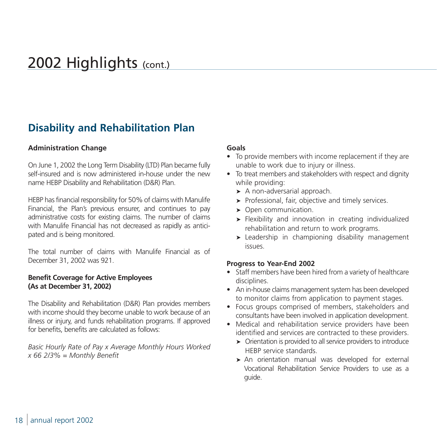# 2002 Highlights (cont.)

## **Disability and Rehabilitation Plan**

#### **Administration Change**

On June 1, 2002 the Long Term Disability (LTD) Plan became fully self-insured and is now administered in-house under the new name HEBP Disability and Rehabilitation (D&R) Plan.

HEBP has financial responsibility for 50% of claims with Manulife Financial, the Plan's previous ensurer, and continues to pay administrative costs for existing claims. The number of claims with Manulife Financial has not decreased as rapidly as anticipated and is being monitored.

The total number of claims with Manulife Financial as of December 31, 2002 was 921.

#### **Benefit Coverage for Active Employees (As at December 31, 2002)**

The Disability and Rehabilitation (D&R) Plan provides members with income should they become unable to work because of an illness or injury, and funds rehabilitation programs. If approved for benefits, benefits are calculated as follows:

*Basic Hourly Rate of Pay x Average Monthly Hours Worked x 66 2/3% = Monthly Benefit*

#### **Goals**

- To provide members with income replacement if they are unable to work due to injury or illness.
- To treat members and stakeholders with respect and dignity while providing:
	- ▶ A non-adversarial approach.
	- ➤ Professional, fair, objective and timely services.
	- ▶ Open communication.
	- ➤ Flexibility and innovation in creating individualized rehabilitation and return to work programs.
	- ➤ Leadership in championing disability management issues.

#### **Progress to Year-End 2002**

- Staff members have been hired from a variety of healthcare disciplines.
- An in-house claims management system has been developed to monitor claims from application to payment stages.
- Focus groups comprised of members, stakeholders and consultants have been involved in application development.
- Medical and rehabilitation service providers have been identified and services are contracted to these providers.
	- ➤ Orientation is provided to all service providers to introduce HEBP service standards.
	- ▶ An orientation manual was developed for external Vocational Rehabilitation Service Providers to use as a guide.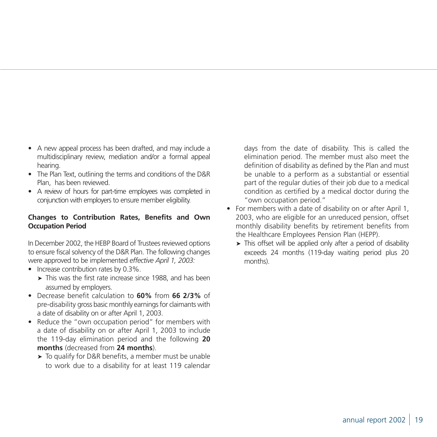- A new appeal process has been drafted, and may include a multidisciplinary review, mediation and/or a formal appeal hearing.
- The Plan Text, outlining the terms and conditions of the D&R Plan, has been reviewed.
- A review of hours for part-time employees was completed in conjunction with employers to ensure member eligibility.

### **Changes to Contribution Rates, Benefits and Own Occupation Period**

In December 2002, the HEBP Board of Trustees reviewed options to ensure fiscal solvency of the D&R Plan. The following changes were approved to be implemented *effective April 1, 2003:*

- Increase contribution rates by 0.3%.
	- ➤ This was the first rate increase since 1988, and has been assumed by employers.
- Decrease benefit calculation to **60%** from **66 2/3%** of pre-disability gross basic monthly earnings for claimants with a date of disability on or after April 1, 2003.
- Reduce the "own occupation period" for members with a date of disability on or after April 1, 2003 to include the 119-day elimination period and the following **20 months** (decreased from **24 months**).
	- ➤ To qualify for D&R benefits, a member must be unable to work due to a disability for at least 119 calendar

days from the date of disability. This is called the elimination period. The member must also meet the definition of disability as defined by the Plan and must be unable to a perform as a substantial or essential part of the regular duties of their job due to a medical condition as certified by a medical doctor during the "own occupation period."

- For members with a date of disability on or after April 1, 2003, who are eligible for an unreduced pension, offset monthly disability benefits by retirement benefits from the Healthcare Employees Pension Plan (HEPP).
	- ➤ This offset will be applied only after a period of disability exceeds 24 months (119-day waiting period plus 20 months).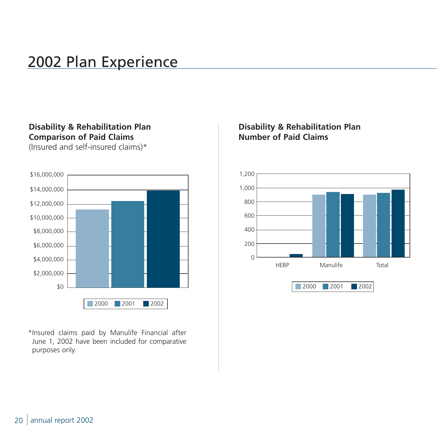# 2002 Plan Experience

## **Disability & Rehabilitation Plan Comparison of Paid Claims**

(Insured and self-insured claims)\*



\*Insured claims paid by Manulife Financial after June 1, 2002 have been included for comparative purposes only.

## **Disability & Rehabilitation Plan Number of Paid Claims**

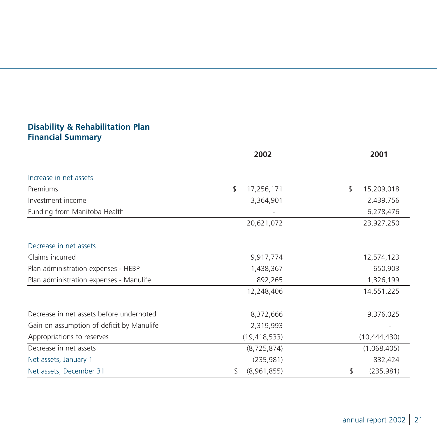## **Disability & Rehabilitation Plan Financial Summary**

|                                           | 2002              | 2001             |
|-------------------------------------------|-------------------|------------------|
|                                           |                   |                  |
| Increase in net assets                    |                   |                  |
| Premiums                                  | \$<br>17,256,171  | \$<br>15,209,018 |
| Investment income                         | 3,364,901         | 2,439,756        |
| Funding from Manitoba Health              |                   | 6,278,476        |
|                                           | 20,621,072        | 23,927,250       |
| Decrease in net assets                    |                   |                  |
| Claims incurred                           | 9,917,774         | 12,574,123       |
| Plan administration expenses - HEBP       | 1,438,367         | 650,903          |
| Plan administration expenses - Manulife   | 892,265           | 1,326,199        |
|                                           | 12,248,406        | 14,551,225       |
| Decrease in net assets before undernoted  | 8,372,666         | 9,376,025        |
| Gain on assumption of deficit by Manulife | 2,319,993         |                  |
| Appropriations to reserves                | (19, 418, 533)    | (10, 444, 430)   |
| Decrease in net assets                    | (8, 725, 874)     | (1,068,405)      |
| Net assets, January 1                     | (235, 981)        | 832,424          |
| Net assets, December 31                   | \$<br>(8,961,855) | \$<br>(235, 981) |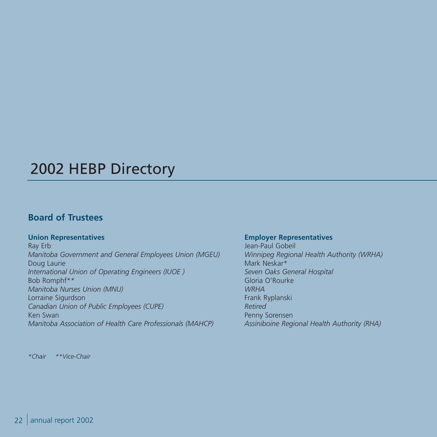# 2002 HEBP Directory

## **Board of Trustees**

### **Union Representatives**

Ray Erb *Manitoba Government and General Employees Union (MGEU)* Doug Laurie *International Union of Operating Engineers (IUOE )* Bob Romphf\*\* *Manitoba Nurses Union (MNU)* Lorraine Sigurdson *Canadian Union of Public Employees (CUPE)* Ken Swan *Manitoba Association of Health Care Professionals (MAHCP)*

*\*Chair \*\*Vice-Chair* 

#### **Employer Representatives**

Jean-Paul Gobeil *Winnipeg Regional Health Authority (WRHA)* Mark Neskar\* *Seven Oaks General Hospital* Gloria O'Rourke *WRHA* Frank Ryplanski *Retired* Penny Sorensen *Assiniboine Regional Health Authority (RHA)*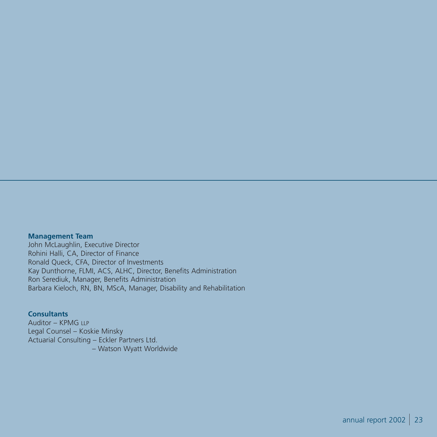#### **Management Team**

John McLaughlin, Executive Director Rohini Halli, CA, Director of Finance Ronald Queck, CFA, Director of Investments Kay Dunthorne, FLMI, ACS, ALHC, Director, Benefits Administration Ron Serediuk, Manager, Benefits Administration Barbara Kieloch, RN, BN, MScA, Manager, Disability and Rehabilitation

#### **Consultants**

Auditor – KPMG LLP Legal Counsel – Koskie Minsky Actuarial Consulting – Eckler Partners Ltd. – Watson Wyatt Worldwide